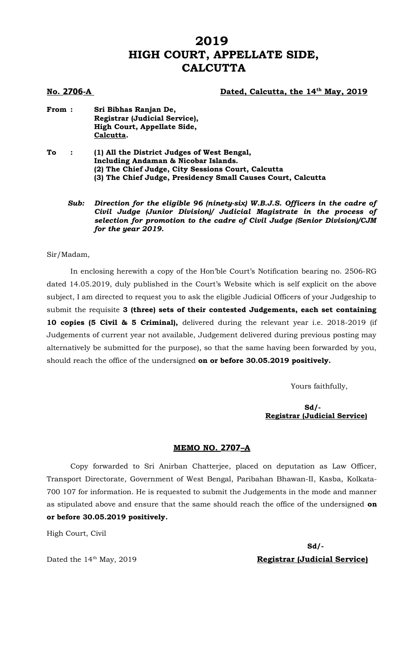# **2019 HIGH COURT, APPELLATE SIDE, CALCUTTA**

#### **1706**-A Dated, Calcutta, the 14<sup>th</sup> May, 2019

- **From : Sri Bibhas Ranjan De, Registrar (Judicial Service), High Court, Appellate Side, Calcutta.**
- **To : (1) All the District Judges of West Bengal, Including Andaman & Nicobar Islands. (2) The Chief Judge, City Sessions Court, Calcutta (3) The Chief Judge, Presidency Small Causes Court, Calcutta**
	- *Sub: Direction for the eligible 96 (ninety-six) W.B.J.S. Officers in the cadre of Civil Judge (Junior Division)/ Judicial Magistrate in the process of selection for promotion to the cadre of Civil Judge (Senior Division)/CJM for the year 2019.*

#### Sir/Madam,

In enclosing herewith a copy of the Hon'ble Court's Notification bearing no. 2506-RG dated 14.05.2019, duly published in the Court's Website which is self explicit on the above subject, I am directed to request you to ask the eligible Judicial Officers of your Judgeship to submit the requisite **3 (three) sets of their contested Judgements, each set containing 10 copies (5 Civil & 5 Criminal),** delivered during the relevant year i.e. 2018-2019 (if Judgements of current year not available, Judgement delivered during previous posting may alternatively be submitted for the purpose), so that the same having been forwarded by you, should reach the office of the undersigned **on or before 30.05.2019 positively.** 

Yours faithfully,

### **Sd/- Registrar (Judicial Service)**

#### **MEMO NO. 2707–A**

Copy forwarded to Sri Anirban Chatterjee, placed on deputation as Law Officer, Transport Directorate, Government of West Bengal, Paribahan Bhawan-II, Kasba, Kolkata-700 107 for information. He is requested to submit the Judgements in the mode and manner as stipulated above and ensure that the same should reach the office of the undersigned **on or before 30.05.2019 positively.**

High Court, Civil

**Sd/-** Dated the 14<sup>th</sup> May, 2019 **Registrar (Judicial Service)**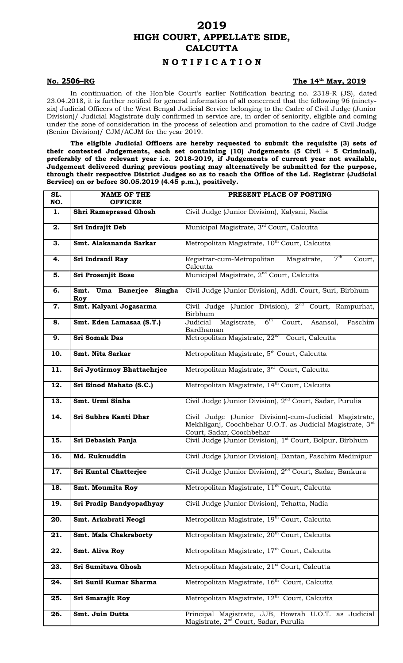# **2019 HIGH COURT, APPELLATE SIDE, CALCUTTA**

## **N O T I F I C A T I O N**

#### **No. 2506-RG**

### The 14<sup>th</sup> May, 2019

In continuation of the Hon'ble Court's earlier Notification bearing no. 2318-R (JS), dated 23.04.2018, it is further notified for general information of all concerned that the following 96 (ninetysix) Judicial Officers of the West Bengal Judicial Service belonging to the Cadre of Civil Judge (Junior Division)/ Judicial Magistrate duly confirmed in service are, in order of seniority, eligible and coming under the zone of consideration in the process of selection and promotion to the cadre of Civil Judge (Senior Division)/ CJM/ACJM for the year 2019.

**The eligible Judicial Officers are hereby requested to submit the requisite (3) sets of their contested Judgements, each set containing (10) Judgements (5 Civil + 5 Criminal), preferably of the relevant year i.e. 2018-2019, if Judgements of current year not available, Judgement delivered during previous posting may alternatively be submitted for the purpose, through their respective District Judges so as to reach the Office of the Ld. Registrar (Judicial Service) on or before 30.05.2019 (4.45 p.m.), positively.** 

| SL.<br>NO. | <b>NAME OF THE</b><br><b>OFFICER</b> | PRESENT PLACE OF POSTING                                                                                                                        |
|------------|--------------------------------------|-------------------------------------------------------------------------------------------------------------------------------------------------|
| 1.         | Shri Ramaprasad Ghosh                | Civil Judge (Junior Division), Kalyani, Nadia                                                                                                   |
| 2.         | Sri Indrajit Deb                     | Municipal Magistrate, 3rd Court, Calcutta                                                                                                       |
| 3.         | Smt. Alakananda Sarkar               | Metropolitan Magistrate, 10 <sup>th</sup> Court, Calcutta                                                                                       |
| 4.         | Sri Indranil Ray                     | 7 <sup>th</sup><br>Registrar-cum-Metropolitan<br>Magistrate,<br>Court,<br>Calcutta                                                              |
| 5.         | Sri Prosenjit Bose                   | Municipal Magistrate, 2 <sup>nd</sup> Court, Calcutta                                                                                           |
| 6.         | Smt. Uma Banerjee Singha<br>Roy      | Civil Judge (Junior Division), Addl. Court, Suri, Birbhum                                                                                       |
| 7.         | Smt. Kalyani Jogasarma               | Civil Judge (Junior Division), 2 <sup>nd</sup> Court, Rampurhat,<br>Birbhum                                                                     |
| 8.         | Smt. Eden Lamasaa (S.T.)             | Magistrate, 6 <sup>th</sup> Court,<br>Paschim<br>Judicial<br>Asansol,<br>Bardhaman                                                              |
| 9.         | <b>Sri Somak Das</b>                 | Metropolitan Magistrate, 22 <sup>nd</sup> Court, Calcutta                                                                                       |
| 10.        | Smt. Nita Sarkar                     | Metropolitan Magistrate, 5 <sup>th</sup> Court, Calcutta                                                                                        |
| 11.        | Sri Jyotirmoy Bhattachrjee           | Metropolitan Magistrate, 3rd Court, Calcutta                                                                                                    |
| 12.        | Sri Binod Mahato (S.C.)              | Metropolitan Magistrate, 14 <sup>th</sup> Court, Calcutta                                                                                       |
| 13.        | Smt. Urmi Sinha                      | Civil Judge (Junior Division), 2 <sup>nd</sup> Court, Sadar, Purulia                                                                            |
| 14.        | Sri Subhra Kanti Dhar                | Civil Judge (Junior Division)-cum-Judicial Magistrate,<br>Mekhliganj, Coochbehar U.O.T. as Judicial Magistrate, 3rd<br>Court, Sadar, Coochbehar |
| 15.        | Sri Debasish Panja                   | Civil Judge (Junior Division), 1 <sup>st</sup> Court, Bolpur, Birbhum                                                                           |
| 16.        | Md. Ruknuddin                        | Civil Judge (Junior Division), Dantan, Paschim Medinipur                                                                                        |
| 17.        | Sri Kuntal Chatterjee                | Civil Judge (Junior Division), 2 <sup>nd</sup> Court, Sadar, Bankura                                                                            |
| 18.        | <b>Smt. Moumita Roy</b>              | Metropolitan Magistrate, 11 <sup>th</sup> Court, Calcutta                                                                                       |
| 19.        | Sri Pradip Bandyopadhyay             | Civil Judge (Junior Division), Tehatta, Nadia                                                                                                   |
| 20.        | Smt. Arkabrati Neogi                 | Metropolitan Magistrate, 19 <sup>th</sup> Court, Calcutta                                                                                       |
| 21.        | Smt. Mala Chakraborty                | Metropolitan Magistrate, 20 <sup>th</sup> Court, Calcutta                                                                                       |
| 22.        | Smt. Aliva Roy                       | Metropolitan Magistrate, 17 <sup>th</sup> Court, Calcutta                                                                                       |
| 23.        | Sri Sumitava Ghosh                   | Metropolitan Magistrate, 21 <sup>st</sup> Court, Calcutta                                                                                       |
| 24.        | Sri Sunil Kumar Sharma               | Metropolitan Magistrate, 16 <sup>th</sup> Court, Calcutta                                                                                       |
| 25.        | Sri Smarajit Roy                     | Metropolitan Magistrate, 12 <sup>th</sup> Court, Calcutta                                                                                       |
| 26.        | Smt. Juin Dutta                      | Principal Magistrate, JJB, Howrah U.O.T. as Judicial<br>Magistrate, 2 <sup>nd</sup> Court, Sadar, Purulia                                       |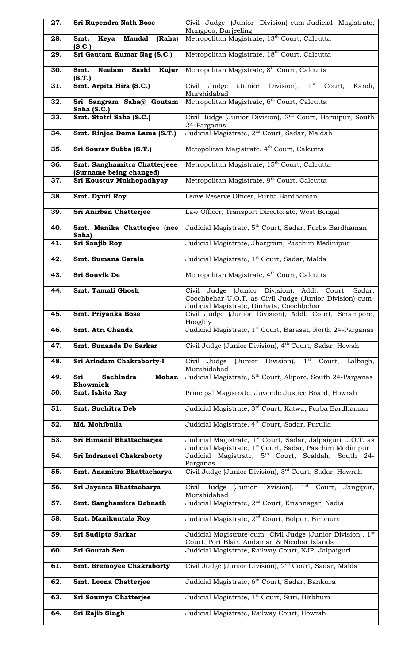| 27. | Sri Rupendra Nath Bose                                  | Civil Judge (Junior Division)-cum-Judicial Magistrate,                                                                                 |
|-----|---------------------------------------------------------|----------------------------------------------------------------------------------------------------------------------------------------|
| 28. | Keya Mandal<br>Smt.<br>(Raha)                           | Mungpoo, Darjeeling<br>Metropolitan Magistrate, 13 <sup>th</sup> Court, Calcutta                                                       |
|     | (S.C.)                                                  |                                                                                                                                        |
| 29. | Sri Gautam Kumar Nag (S.C.)                             | Metropolitan Magistrate, 18 <sup>th</sup> Court, Calcutta                                                                              |
| 30. | Sashi<br>Kujur<br>Smt.<br><b>Neelam</b><br>(S.T.)       | Metropolitan Magistrate, 8 <sup>th</sup> Court, Calcutta                                                                               |
| 31. | Smt. Arpita Hira (S.C.)                                 | (Junior<br>$1^{\rm st}$<br>Civil<br>Division),<br>Judge<br>Court,<br>Kandi,<br>Murshidabad                                             |
| 32. | Sri Sangram Saha@ Goutam<br>Saha (S.C.)                 | Metropolitan Magistrate, 6 <sup>th</sup> Court, Calcutta                                                                               |
| 33. | Smt. Stotri Saha (S.C.)                                 | Civil Judge (Junior Division), 2 <sup>nd</sup> Court, Baruipur, South<br>24-Parganas                                                   |
| 34. | Smt. Rinjee Doma Lama (S.T.)                            | Judicial Magistrate, 2 <sup>nd</sup> Court, Sadar, Maldah                                                                              |
| 35. | Sri Sourav Subba (S.T.)                                 | Metopolitan Magistrate, 4 <sup>th</sup> Court, Calcutta                                                                                |
| 36. | Smt. Sanghamitra Chatterjeee<br>(Surname being changed) | Metropolitan Magistrate, 15 <sup>th</sup> Court, Calcutta                                                                              |
| 37. | Sri Koustuv Mukhopadhyay                                | Metropolitan Magistrate, 9 <sup>th</sup> Court, Calcutta                                                                               |
| 38. | Smt. Dyuti Roy                                          | Leave Reserve Officer, Purba Bardhaman                                                                                                 |
| 39. | Sri Anirban Chatterjee                                  | Law Officer, Transport Directorate, West Bengal                                                                                        |
| 40. | Smt. Manika Chatterjee (nee<br>Saha)                    | Judicial Magistrate, 5 <sup>th</sup> Court, Sadar, Purba Bardhaman                                                                     |
| 41. | Sri Sanjib Roy                                          | Judicial Magistrate, Jhargram, Paschim Medinipur                                                                                       |
| 42. | Smt. Sumana Garain                                      | Judicial Magistrate, 1 <sup>st</sup> Court, Sadar, Malda                                                                               |
| 43. | <b>Sri Souvik De</b>                                    | Metropolitan Magistrate, 4 <sup>th</sup> Court, Calcutta                                                                               |
| 44. | Smt. Tamali Ghosh                                       | Civil Judge (Junior Division), Addl. Court, Sadar,<br>Coochbehar U.O.T. as Civil Judge (Junior Division)-cum-                          |
| 45. | Smt. Priyanka Bose                                      | Judicial Magistrate, Dinhata, Coochbehar<br>Civil Judge (Junior Division), Addl. Court, Serampore,                                     |
| 46. | Smt. Atri Chanda                                        | Hooghly<br>Judicial Magistrate, 1 <sup>st</sup> Court, Barasat, North 24-Parganas                                                      |
| 47. | Smt. Sunanda De Sarkar                                  | Civil Judge (Junior Division), 4 <sup>th</sup> Court, Sadar, Howah                                                                     |
| 48. | Sri Arindam Chakraborty-I                               | (Junior Division),<br>$1st$ Court, Lalbagh,<br>Civil Judge                                                                             |
| 49. | Sachindra<br><b>Mohan</b><br>Sri                        | Murshidabad<br>Judicial Magistrate, 5 <sup>th</sup> Court, Alipore, South 24-Parganas                                                  |
| 50. | <b>Bhowmick</b><br>Smt. Ishita Ray                      | Principal Magistrate, Juvenile Justice Board, Howrah                                                                                   |
| 51. | Smt. Suchitra Deb                                       | Judicial Magistrate, 3 <sup>rd</sup> Court, Katwa, Purba Bardhaman                                                                     |
| 52. | Md. Mohibulla                                           | Judicial Magistrate, 4 <sup>th</sup> Court, Sadar, Purulia                                                                             |
| 53. | Sri Himanil Bhattacharjee                               | Judicial Magistrate, 1 <sup>st</sup> Court, Sadar, Jalpaiguri U.O.T. as                                                                |
| 54. | <b>Sri Indraneel Chakraborty</b>                        | Judicial Magistrate, 1 <sup>st</sup> Court, Sadar, Paschim Medinipur<br>Judicial Magistrate, 5 <sup>th</sup> Court, Sealdah, South 24- |
| 55. | Smt. Anamitra Bhattacharya                              | Parganas<br>Civil Judge (Junior Division), 3 <sup>rd</sup> Court, Sadar, Howrah                                                        |
| 56. | Sri Jayanta Bhattacharya                                | Civil Judge (Junior Division), 1 <sup>st</sup> Court, Jangipur,                                                                        |
| 57. |                                                         | Murshidabad                                                                                                                            |
|     | Smt. Sanghamitra Debnath                                | Judicial Magistrate, 2 <sup>nd</sup> Court, Krishnagar, Nadia                                                                          |
| 58. | Smt. Manikuntala Roy                                    | Judicial Magistrate, 2 <sup>nd</sup> Court, Bolpur, Birbhum                                                                            |
| 59. | Sri Sudipta Sarkar                                      | Judicial Magistrate-cum- Civil Judge (Junior Division), 1 <sup>st</sup>                                                                |
| 60. | Sri Gourab Sen                                          | Court, Port Blair, Andaman & Nicobar Islands<br>Judicial Magistrate, Railway Court, NJP, Jalpaiguri                                    |
| 61. | <b>Smt. Sremoyee Chakraborty</b>                        | Civil Judge (Junior Division), 2 <sup>nd</sup> Court, Sadar, Malda                                                                     |
| 62. | Smt. Leena Chatterjee                                   | Judicial Magistrate, 6 <sup>th</sup> Court, Sadar, Bankura                                                                             |
| 63. | Sri Soumya Chatterjee                                   | Judicial Magistrate, 1 <sup>st</sup> Court, Suri, Birbhum                                                                              |
| 64. | Sri Rajib Singh                                         | Judicial Magistrate, Railway Court, Howrah                                                                                             |